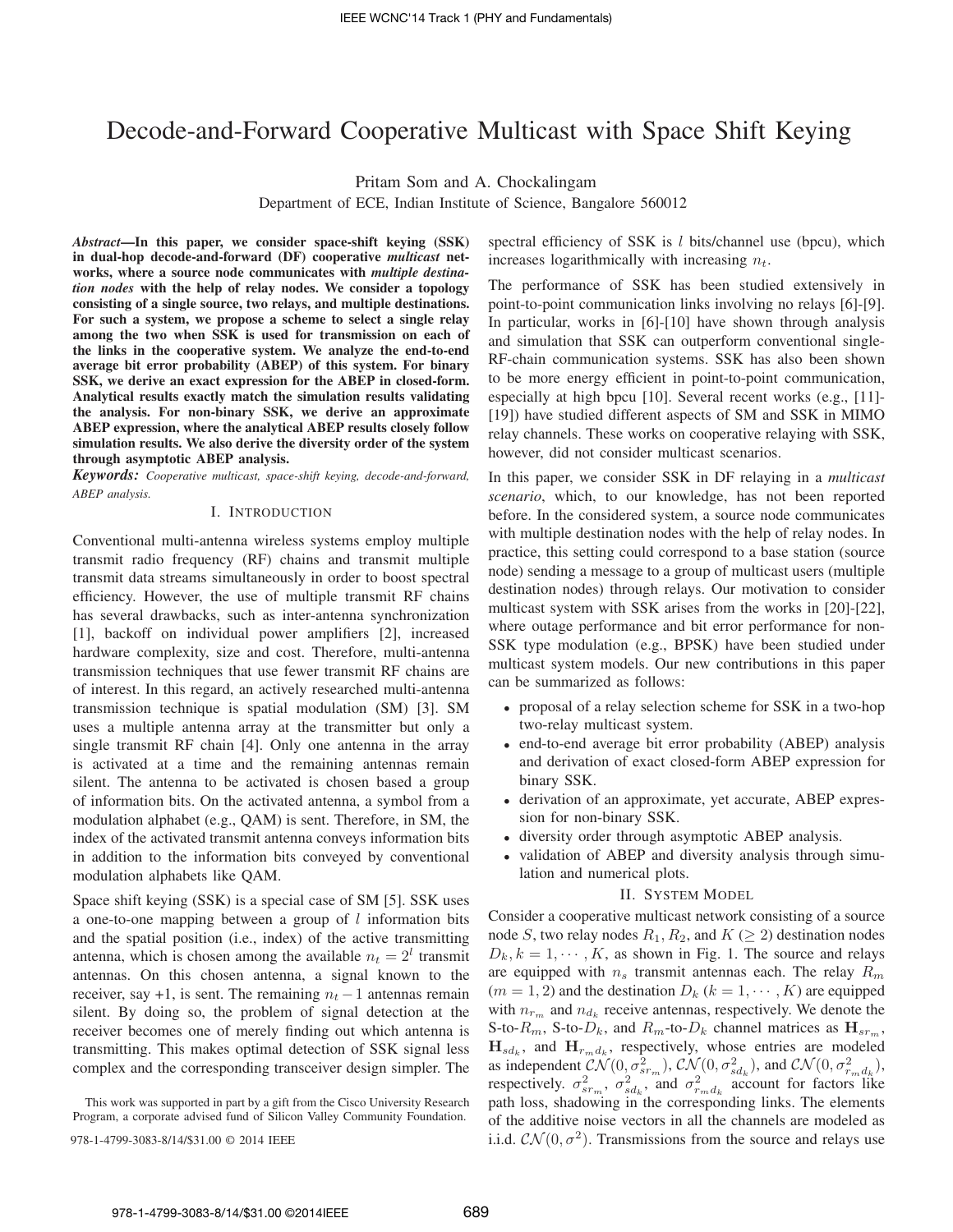# Decode-and-Forward Cooperative Multicast with Space Shift Keying

Pritam Som and A. Chockalingam

Department of ECE, Indian Institute of Science, Bangalore 560012

*Abstract***—In this paper, we consider space-shift keying (SSK) in dual-hop decode-and-forward (DF) cooperative** *multicast* **networks, where a source node communicates with** *multiple destination nodes* **with the help of relay nodes. We consider a topology consisting of a single source, two relays, and multiple destinations. For such a system, we propose a scheme to select a single relay among the two when SSK is used for transmission on each of the links in the cooperative system. We analyze the end-to-end average bit error probability (ABEP) of this system. For binary SSK, we derive an exact expression for the ABEP in closed-form. Analytical results exactly match the simulation results validating the analysis. For non-binary SSK, we derive an approximate ABEP expression, where the analytical ABEP results closely follow simulation results. We also derive the diversity order of the system through asymptotic ABEP analysis.**

*Keywords: Cooperative multicast, space-shift keying, decode-and-forward, ABEP analysis.*

#### I. INTRODUCTION

Conventional multi-antenna wireless systems employ multiple transmit radio frequency (RF) chains and transmit multiple transmit data streams simultaneously in order to boost spectral efficiency. However, the use of multiple transmit RF chains has several drawbacks, such as inter-antenna synchronization [1], backoff on individual power amplifiers [2], increased hardware complexity, size and cost. Therefore, multi-antenna transmission techniques that use fewer transmit RF chains are of interest. In this regard, an actively researched multi-antenna transmission technique is spatial modulation (SM) [3]. SM uses a multiple antenna array at the transmitter but only a single transmit RF chain [4]. Only one antenna in the array is activated at a time and the remaining antennas remain silent. The antenna to be activated is chosen based a group of information bits. On the activated antenna, a symbol from a modulation alphabet (e.g., QAM) is sent. Therefore, in SM, the index of the activated transmit antenna conveys information bits in addition to the information bits conveyed by conventional modulation alphabets like QAM.

Space shift keying (SSK) is a special case of SM [5]. SSK uses a one-to-one mapping between a group of  $l$  information bits and the spatial position (i.e., index) of the active transmitting antenna, which is chosen among the available  $n_t = 2^l$  transmit antennas. On this chosen antenna, a signal known to the receiver, say +1, is sent. The remaining  $n_t - 1$  antennas remain silent. By doing so, the problem of signal detection at the receiver becomes one of merely finding out which antenna is transmitting. This makes optimal detection of SSK signal less complex and the corresponding transceiver design simpler. The

This work was supported in part by a gift from the Cisco University Research Program, a corporate advised fund of Silicon Valley Community Foundation.

spectral efficiency of SSK is  $l$  bits/channel use (bpcu), which increases logarithmically with increasing  $n_t$ .

The performance of SSK has been studied extensively in point-to-point communication links involving no relays [6]-[9]. In particular, works in [6]-[10] have shown through analysis and simulation that SSK can outperform conventional single-RF-chain communication systems. SSK has also been shown to be more energy efficient in point-to-point communication, especially at high bpcu [10]. Several recent works (e.g., [11]- [19]) have studied different aspects of SM and SSK in MIMO relay channels. These works on cooperative relaying with SSK, however, did not consider multicast scenarios.

In this paper, we consider SSK in DF relaying in a *multicast scenario*, which, to our knowledge, has not been reported before. In the considered system, a source node communicates with multiple destination nodes with the help of relay nodes. In practice, this setting could correspond to a base station (source node) sending a message to a group of multicast users (multiple destination nodes) through relays. Our motivation to consider multicast system with SSK arises from the works in [20]-[22], where outage performance and bit error performance for non-SSK type modulation (e.g., BPSK) have been studied under multicast system models. Our new contributions in this paper can be summarized as follows:

- <sup>∙</sup> proposal of a relay selection scheme for SSK in a two-hop two-relay multicast system.
- <sup>∙</sup> end-to-end average bit error probability (ABEP) analysis and derivation of exact closed-form ABEP expression for binary SSK.
- <sup>∙</sup> derivation of an approximate, yet accurate, ABEP expression for non-binary SSK.
- <sup>∙</sup> diversity order through asymptotic ABEP analysis.
- <sup>∙</sup> validation of ABEP and diversity analysis through simulation and numerical plots.

#### II. SYSTEM MODEL

Consider a cooperative multicast network consisting of a source node S, two relay nodes  $R_1, R_2$ , and  $K \geq 2$ ) destination nodes  $D_k, k = 1, \dots, K$ , as shown in Fig. 1. The source and relays are equipped with  $n_s$  transmit antennas each. The relay  $R_m$  $(m = 1, 2)$  and the destination  $D_k$   $(k = 1, \dots, K)$  are equipped with  $n_{r_m}$  and  $n_{d_k}$  receive antennas, respectively. We denote the S-to- $R_m$ , S-to- $D_k$ , and  $R_m$ -to- $D_k$  channel matrices as  $\mathbf{H}_{sr_m}$ ,  $\mathbf{H}_{sd_k}$ , and  $\mathbf{H}_{r_m d_k}$ , respectively, whose entries are modeled as independent  $CN(0, \sigma_{sr_m}^2)$ ,  $CN(0, \sigma_{sd_k}^2)$ , and  $CN(0, \sigma_{r_m d_k}^2)$ , respectively.  $\sigma_{sr_m}^2$ ,  $\sigma_{sd_k}^2$ , and  $\sigma_{r_m d_k}^2$  account for factors like path loss, shadowing in the corresponding links. The elements of the additive noise vectors in all the channels are modeled as 978-1-4799-3083-8/14/\$31.00 © 2014 IEEE i.i.d.  $CN(0, \sigma^2)$ . Transmissions from the source and relays use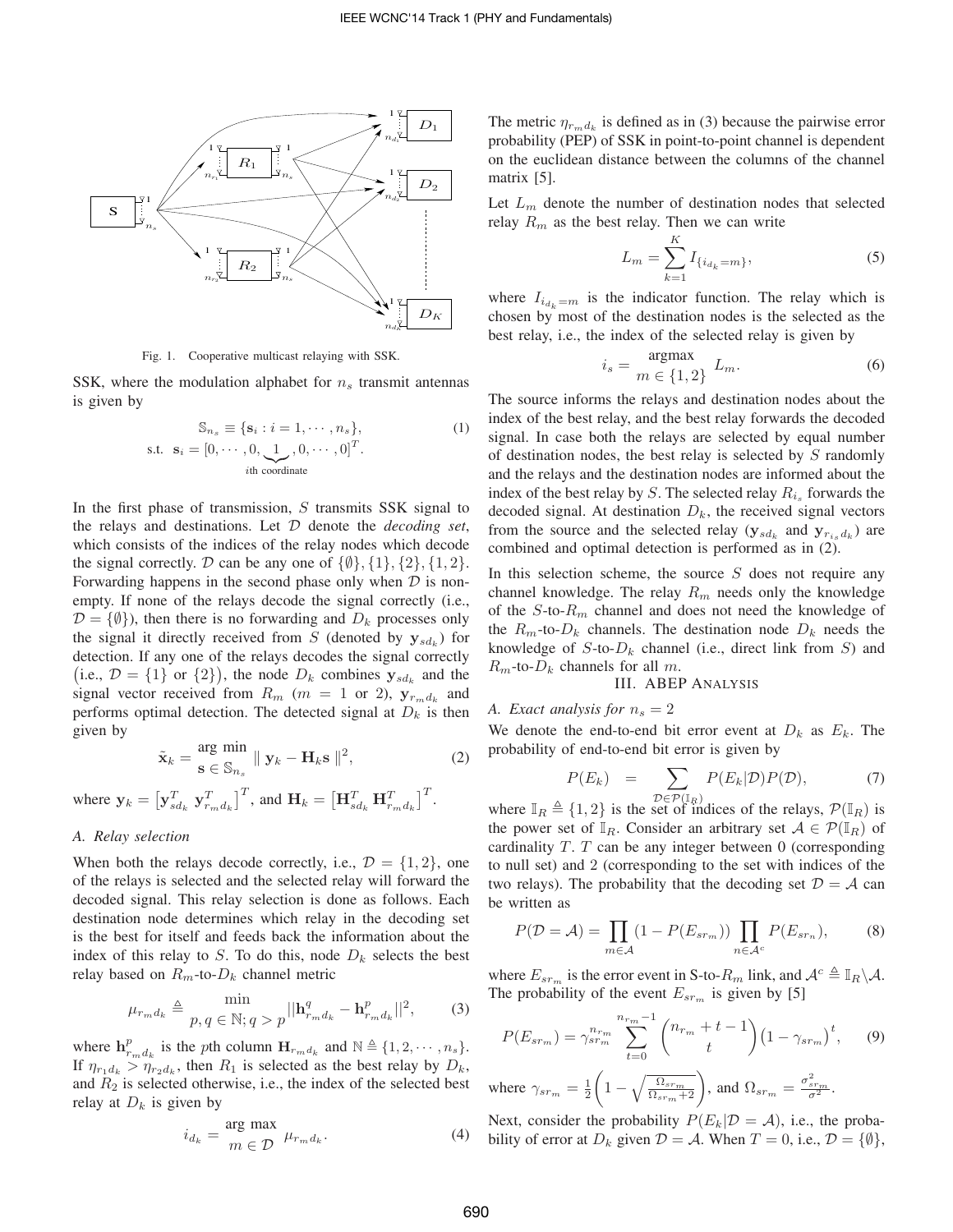

Fig. 1. Cooperative multicast relaying with SSK.

SSK, where the modulation alphabet for  $n<sub>s</sub>$  transmit antennas is given by

$$
\mathbb{S}_{n_s} \equiv \{ \mathbf{s}_i : i = 1, \cdots, n_s \},
$$
\n
$$
\text{s.t. } \mathbf{s}_i = [0, \cdots, 0, \underbrace{1}_{i \text{th coordinate}}, 0, \cdots, 0]^T.
$$
\n
$$
(1)
$$

In the first phase of transmission,  $S$  transmits SSK signal to the relays and destinations. Let  $D$  denote the *decoding set*, which consists of the indices of the relay nodes which decode the signal correctly.  $D$  can be any one of  $\{\emptyset\}, \{1\}, \{2\}, \{1, 2\}.$ Forwarding happens in the second phase only when  $D$  is nonempty. If none of the relays decode the signal correctly (i.e.,  $\mathcal{D} = \{\emptyset\}$ , then there is no forwarding and  $D_k$  processes only the signal it directly received from S (denoted by  $y_{sd_k}$ ) for detection. If any one of the relays decodes the signal correctly (i.e.,  $\mathcal{D} = \{1\}$  or  $\{2\}$ ), the node  $D_k$  combines  $\mathbf{y}_{sd_k}$  and the signal vector received from  $R_m$  ( $m = 1$  or 2),  $y_{r_m d_k}$  and performs optimal detection. The detected signal at  $D_k$  is then given by

$$
\tilde{\mathbf{x}}_k = \frac{\text{arg min}}{\mathbf{s} \in \mathbb{S}_{n_s}} \parallel \mathbf{y}_k - \mathbf{H}_k \mathbf{s} \parallel^2, \tag{2}
$$

where  $\mathbf{y}_k = \left[\mathbf{y}_{sd_k}^T \ \mathbf{y}_{r_m d_k}^T\right]^T$ , and  $\mathbf{H}_k = \left[\mathbf{H}_{sd_k}^T \ \mathbf{H}_{r_m d_k}^T\right]^T$ .

## *A. Relay selection*

When both the relays decode correctly, i.e.,  $\mathcal{D} = \{1, 2\}$ , one of the relays is selected and the selected relay will forward the decoded signal. This relay selection is done as follows. Each destination node determines which relay in the decoding set is the best for itself and feeds back the information about the index of this relay to S. To do this, node  $D_k$  selects the best relay based on  $R_m$ -to- $D_k$  channel metric

$$
\mu_{r_m d_k} \triangleq \min_{p, q \in \mathbb{N}; q > p} ||\mathbf{h}_{r_m d_k}^q - \mathbf{h}_{r_m d_k}^p||^2, \quad (3)
$$

where  $\mathbf{h}_{r_m d_k}^p$  is the pth column  $\mathbf{H}_{r_m d_k}$  and  $\mathbb{N} \triangleq \{1, 2, \cdots, n_s\}.$ If  $\eta_{r_1 d_k} > \eta_{r_2 d_k}$ , then  $R_1$  is selected as the best relay by  $D_k$ , and  $R_2$  is selected otherwise, i.e., the index of the selected best relay at  $D_k$  is given by

$$
i_{d_k} = \frac{\text{arg max}}{m \in \mathcal{D}} \ \mu_{r_m d_k}.
$$
 (4)

The metric  $\eta_{r_m d_k}$  is defined as in (3) because the pairwise error probability (PEP) of SSK in point-to-point channel is dependent on the euclidean distance between the columns of the channel matrix [5].

Let  $L_m$  denote the number of destination nodes that selected relay  $R_m$  as the best relay. Then we can write

$$
L_m = \sum_{k=1}^{K} I_{\{i_{d_k} = m\}},
$$
\n(5)

where  $I_{i_{d_k}=m}$  is the indicator function. The relay which is chosen by most of the destination nodes is the selected as the best relay, i.e., the index of the selected relay is given by

$$
i_s = \frac{\text{argmax}}{m \in \{1, 2\}} \ L_m. \tag{6}
$$

The source informs the relays and destination nodes about the index of the best relay, and the best relay forwards the decoded signal. In case both the relays are selected by equal number of destination nodes, the best relay is selected by  $S$  randomly and the relays and the destination nodes are informed about the index of the best relay by S. The selected relay  $R_{i_s}$  forwards the decoded signal. At destination  $D_k$ , the received signal vectors from the source and the selected relay  $(\mathbf{y}_{sd_k})$  and  $\mathbf{y}_{r_i, d_k}$  are combined and optimal detection is performed as in (2).

In this selection scheme, the source  $S$  does not require any channel knowledge. The relay  $R_m$  needs only the knowledge of the  $S$ -to- $R<sub>m</sub>$  channel and does not need the knowledge of the  $R_m$ -to- $D_k$  channels. The destination node  $D_k$  needs the knowledge of  $S$ -to- $D_k$  channel (i.e., direct link from  $S$ ) and  $R_m$ -to- $D_k$  channels for all  $m$ .

III. ABEP ANALYSIS

# *A. Exact analysis for*  $n_s = 2$

We denote the end-to-end bit error event at  $D_k$  as  $E_k$ . The probability of end-to-end bit error is given by

$$
P(E_k) = \sum_{\mathcal{D} \in \mathcal{P}(\mathbb{I}_R)} P(E_k|\mathcal{D}) P(\mathcal{D}), \tag{7}
$$

where  $\mathbb{I}_R \triangleq \{1, 2\}$  is the set of indices of the relays,  $\mathcal{P}(\mathbb{I}_R)$  is the power set of  $\mathbb{I}_R$ . Consider an arbitrary set  $\mathcal{A} \in \mathcal{P}(\mathbb{I}_R)$  of cardinality  $T$ .  $T$  can be any integer between 0 (corresponding to null set) and 2 (corresponding to the set with indices of the two relays). The probability that the decoding set  $\mathcal{D} = \mathcal{A}$  can be written as

$$
P(\mathcal{D} = \mathcal{A}) = \prod_{m \in \mathcal{A}} (1 - P(E_{sr_m})) \prod_{n \in \mathcal{A}^c} P(E_{sr_n}), \tag{8}
$$

where  $E_{sr_m}$  is the error event in S-to- $R_m$  link, and  $\mathcal{A}^c \triangleq \mathbb{I}_R \backslash \mathcal{A}$ . The probability of the event  $E_{sr_m}$  is given by [5]

$$
P(E_{sr_m}) = \gamma_{sr_m}^{n_{r_m}} \sum_{t=0}^{n_{r_m}-1} {n_{r_m} + t - 1 \choose t} (1 - \gamma_{sr_m})^t, \qquad (9)
$$

where  $\gamma_{sr_m} = \frac{1}{2}$  $\left(1-\sqrt{\frac{\Omega_{sr_m}}{\Omega_{sr_m}+2}}\right)$ , and  $\Omega_{sr_m}=\frac{\sigma_{sr_m}^2}{\sigma^2}$ .

Next, consider the probability  $P(E_k | \mathcal{D} = \mathcal{A})$ , i.e., the probability of error at  $D_k$  given  $\mathcal{D} = \mathcal{A}$ . When  $T = 0$ , i.e.,  $\mathcal{D} = \{ \emptyset \},$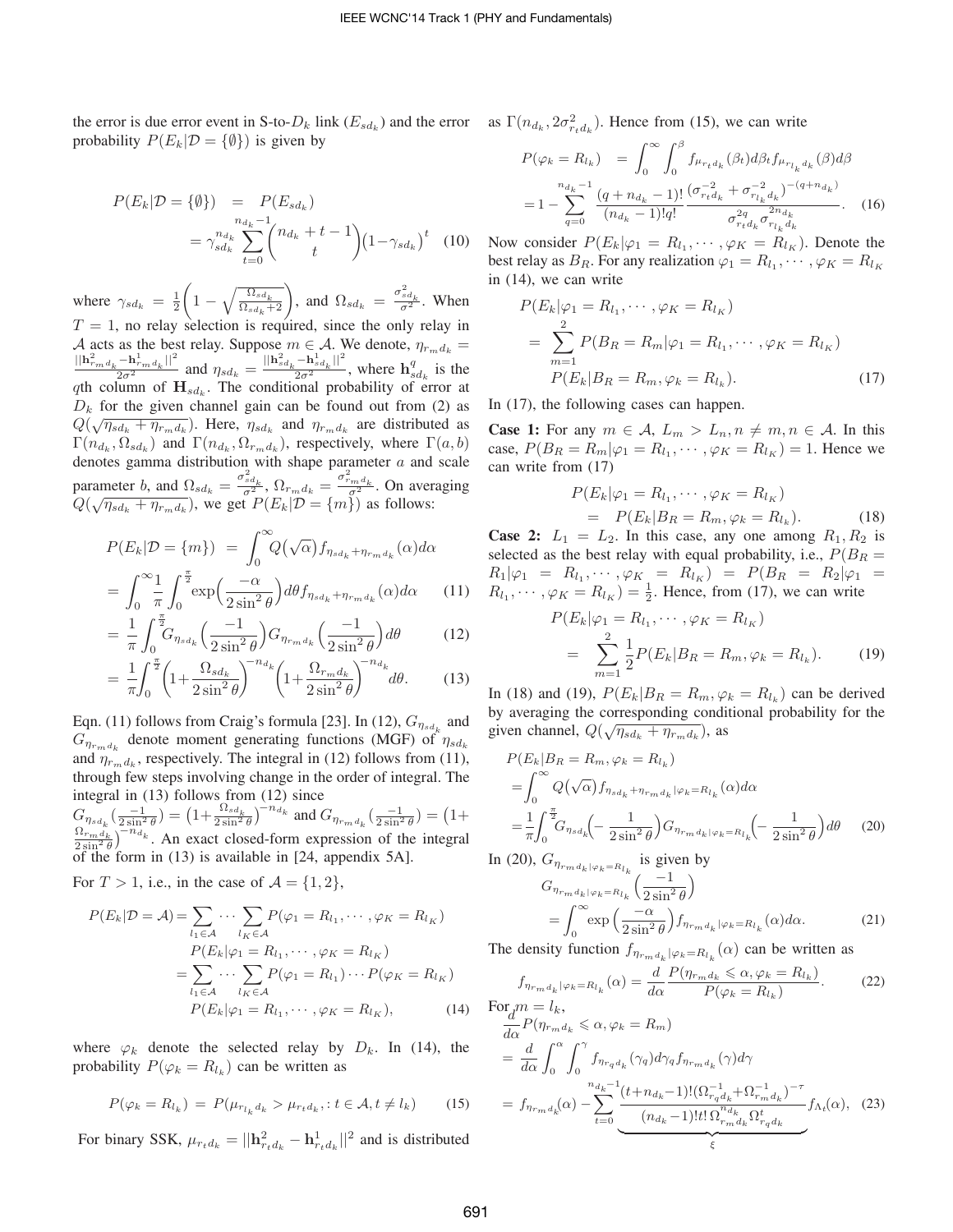the error is due error event in S-to- $D_k$  link  $(E_{sd_k})$  and the error as  $\Gamma(n_{d_k}, 2\sigma_{rd_k}^2)$ . Hence from (15), we can write probability  $P(E_k | \mathcal{D} = {\emptyset})$  is given by

$$
P(E_k | \mathcal{D} = {\emptyset}) = P(E_{sd_k})
$$
  
=  $\gamma_{sd_k}^{n_{d_k} - 1} \binom{n_{d_k} + t - 1}{t} (1 - \gamma_{sd_k})^t$  (10)

where  $\gamma_{sd_k} = \frac{1}{2}$  $\left(1-\sqrt{\frac{\Omega_{sd_k}}{\Omega_{sd_k}+2}}\right)$ , and  $\Omega_{sd_k} = \frac{\sigma_{sd_k}^2}{\sigma^2}$ . When  $T = 1$ , no relay selection is required, since the only relay in A acts as the best relay. Suppose  $m \in \mathcal{A}$ . We denote,  $\eta_{r_m d_k} =$  $\frac{e^{2}}{2\sigma^{2}}$  and  $\eta_{sd_k} = \frac{||\mathbf{h}_{sd_k}^2 - \mathbf{h}_{sd_k}^1||^2}{2\sigma^2}$ , where  $\mathbf{h}_{sd_k}^q$  is the  $q$ th column of  $\mathbf{H}_{s d_k}$ . The conditional probability of error at  $D_k$  for the given channel gain can be found out from (2) as  $Q(\sqrt{\eta_{sd_k} + \eta_{r_m d_k}})$ . Here,  $\eta_{sd_k}$  and  $\eta_{r_m d_k}$  are distributed as  $\Gamma(n_{d_k}, \Omega_{sd_k})$  and  $\Gamma(n_{d_k}, \Omega_{r_m d_k})$ , respectively, where  $\Gamma(a, b)$ denotes gamma distribution with shape parameter  $a$  and scale parameter *b*, and  $\Omega_{sd_k} = \frac{\sigma_{sd_k}^2}{\sigma^2}$ ,  $\Omega_{r_m d_k} = \frac{\sigma_{rm d_k}^2}{\sigma^2}$ . On averaging parameter b, and  $s_1 s d_k = \frac{\sigma^2}{\sigma^2}$ ,  $s r_m d_k = \frac{\sigma^2}{\sigma^2}$ . On aver<br>  $Q(\sqrt{\eta s d_k + \eta_{r_m d_k}})$ , we get  $P(E_k | \mathcal{D} = \{m\})$  as follows:

$$
P(E_k|\mathcal{D} = \{m\}) = \int_0^\infty Q(\sqrt{\alpha}) f_{\eta_{sd_k} + \eta_{rm_d}}(\alpha) d\alpha
$$

$$
= \int_0^\infty \frac{1}{\pi} \int_0^{\frac{\pi}{2}} \exp\left(\frac{-\alpha}{2\sin^2\theta}\right) d\theta f_{\eta_{sd_k} + \eta_{rm_d}}(\alpha) d\alpha \qquad (11)
$$

$$
= \frac{1}{\pi} \int_{0}^{\frac{\pi}{2}} G_{\eta_{sd_k}} \left( \frac{-1}{2 \sin^2 \theta} \right) G_{\eta_{rm}} \left( \frac{-1}{2 \sin^2 \theta} \right) d\theta \tag{12}
$$

$$
= \frac{1}{\pi} \int_0^{\infty} \eta_{sd_k} \left( 2 \sin^2 \theta \right)^{\zeta \eta_{rm} d_k} \left( 2 \sin^2 \theta \right)^{\zeta \zeta}
$$

$$
= \frac{1}{\pi} \int_0^{\frac{\pi}{2}} \left( 1 + \frac{\Omega_{sd_k}}{2 \cdot 2} \right)^{-n_{ds}} \left( 1 + \frac{\Omega_{rm} d_k}{2 \cdot 2} \right)^{-n_{ds}} d\theta. \tag{13}
$$

$$
= \frac{1}{\pi} \int_0^{\pi} \left( 1 + \frac{3 \log a_k}{2 \sin^2 \theta} \right) \left( 1 + \frac{3 \log a_k}{2 \sin^2 \theta} \right) d\theta. \tag{13}
$$

Eqn. (11) follows from Craig's formula [23]. In (12),  $G_{\eta_{sd}}$  and  $G_{\eta_{r_{m}d_{k}}}$  denote moment generating functions (MGF) of  $\eta_{sd_{k}}$ and  $\eta_{r_m d_k}$ , respectively. The integral in (12) follows from (11), through few steps involving change in the order of integral. The integral in (13) follows from (12) since

 $G_{\eta_{sd_k}}(\frac{-1}{2\sin^2\theta})=\big(1+\frac{\Omega_{sd_k}}{2\sin^2\theta}\big)^{-n_{d_k}}$  and  $G_{\eta_{r_m d_k}}(\frac{-1}{2\sin^2\theta})=\big(1+$  $\frac{\Omega_{rm} \Omega_{\text{B}}}{2 \sin^2 \theta}$   $^{-n_{d_k}}$ . An exact closed-form expression of the integral of the form in (13) is available in [24, appendix 5A].

For  $T > 1$ , i.e., in the case of  $\mathcal{A} = \{1, 2\}$ ,

$$
P(E_k|\mathcal{D} = \mathcal{A}) = \sum_{l_1 \in \mathcal{A}} \cdots \sum_{l_K \in \mathcal{A}} P(\varphi_1 = R_{l_1}, \cdots, \varphi_K = R_{l_K})
$$
  
\n
$$
P(E_k|\varphi_1 = R_{l_1}, \cdots, \varphi_K = R_{l_K})
$$
  
\n
$$
= \sum_{l_1 \in \mathcal{A}} \cdots \sum_{l_K \in \mathcal{A}} P(\varphi_1 = R_{l_1}) \cdots P(\varphi_K = R_{l_K})
$$
  
\n
$$
P(E_k|\varphi_1 = R_{l_1}, \cdots, \varphi_K = R_{l_K}), \qquad (14)
$$

where  $\varphi_k$  denote the selected relay by  $D_k$ . In (14), the probability  $P(\varphi_k = R_{l_k})$  can be written as

$$
P(\varphi_k = R_{l_k}) = P(\mu_{r_{l_k}d_k} > \mu_{r_td_k}, \colon t \in \mathcal{A}, t \neq l_k)
$$
 (15)

For binary SSK,  $\mu_{r_t d_k} = ||\mathbf{h}_{r_t d_k}^2 - \mathbf{h}_{r_t d_k}^1||^2$  and is distributed

$$
P(\varphi_k = R_{l_k}) = \int_0^\infty \int_0^\beta f_{\mu_{r_t d_k}}(\beta_t) d\beta_t f_{\mu_{r_{l_k} d_k}}(\beta) d\beta
$$

$$
= 1 - \sum_{q=0}^{n_{d_k}-1} \frac{(q + n_{d_k} - 1)!}{(n_{d_k} - 1)! q!} \frac{(\sigma_{r_t d_k}^{-2} + \sigma_{r_{l_k} d_k}^{-2})^{-(q + n_{d_k})}}{\sigma_{r_t d_k}^{2q} \sigma_{r_{l_k} d_k}^{2n_{d_k}}}.
$$
 (16)

Now consider  $P(E_k|\varphi_1 = R_{l_1}, \cdots, \varphi_K = R_{l_K})$ . Denote the best relay as  $B_R$ . For any realization  $\varphi_1 = R_{l_1}, \cdots, \varphi_K = R_{l_K}$ in (14), we can write

$$
P(E_k|\varphi_1 = R_{l_1}, \cdots, \varphi_K = R_{l_K})
$$
  
= 
$$
\sum_{m=1}^{2} P(B_R = R_m|\varphi_1 = R_{l_1}, \cdots, \varphi_K = R_{l_K})
$$
  

$$
P(E_k|B_R = R_m, \varphi_k = R_{l_k}).
$$
 (17)

In (17), the following cases can happen.

**Case 1:** For any  $m \in A$ ,  $L_m > L_n$ ,  $n \neq m$ ,  $n \in A$ . In this case,  $P(B_R = R_m | \varphi_1 = R_{l_1}, \dots, \varphi_K = R_{l_K}) = 1$ . Hence we can write from (17)

$$
P(E_k|\varphi_1 = R_{l_1}, \cdots, \varphi_K = R_{l_K})
$$
  
= 
$$
P(E_k|B_R = R_m, \varphi_k = R_{l_k}).
$$
 (18)

**Case 2:**  $L_1 = L_2$ . In this case, any one among  $R_1, R_2$  is selected as the best relay with equal probability, i.e.,  $P(B_R =$  $R_1|\varphi_1 = R_{l_1}, \cdots, \varphi_K = R_{l_K}) = P(B_R = R_2|\varphi_1 =$  $R_{l_1}, \cdots, \varphi_K = R_{l_K}$  =  $\frac{1}{2}$ . Hence, from (17), we can write

$$
P(E_k|\varphi_1 = R_{l_1}, \cdots, \varphi_K = R_{l_K})
$$
  
= 
$$
\sum_{m=1}^{2} \frac{1}{2} P(E_k|B_R = R_m, \varphi_k = R_{l_k}).
$$
 (19)

In (18) and (19),  $P(E_k|B_R = R_m, \varphi_k = R_{l_k})$  can be derived by averaging the corresponding conditional probability for the given channel,  $Q(\sqrt{\eta_{sd_k} + \eta_{r_m d_k}})$ , as

$$
P(E_k|B_R = R_m, \varphi_k = R_{l_k})
$$
  
= 
$$
\int_0^\infty Q(\sqrt{\alpha}) f_{\eta_{sd_k} + \eta_{rm} d_k} |\varphi_k = R_{l_k}(\alpha) d\alpha
$$
  
= 
$$
\frac{1}{\pi} \int_0^{\frac{\pi}{2}} G_{\eta_{sd_k}} \left( -\frac{1}{2 \sin^2 \theta} \right) G_{\eta_{rm} d_k} |\varphi_k = R_{l_k} \left( -\frac{1}{2 \sin^2 \theta} \right) d\theta
$$
 (20)

In (20),  $G_{\eta_{rmd}_k|\varphi_k=R_l_k}$  is given by

$$
G_{\eta_{rm}d_k|\varphi_k = R_{l_k}}\left(\frac{-1}{2\sin^2\theta}\right)
$$
  
= 
$$
\int_0^\infty \exp\left(\frac{-\alpha}{2\sin^2\theta}\right) f_{\eta_{rm}d_k|\varphi_k = R_{l_k}}(\alpha) d\alpha.
$$
 (21)

The density function  $f_{\eta_{r_m d_k}|\varphi_k=R_{l_k}}(\alpha)$  can be written as

$$
f_{\eta_{r_m d_k}|\varphi_k = R_{l_k}}(\alpha) = \frac{d}{d\alpha} \frac{P(\eta_{r_m d_k} \le \alpha, \varphi_k = R_{l_k})}{P(\varphi_k = R_{l_k})}.
$$
 (22)

$$
\begin{split}\n\frac{\partial d}{d\alpha}P(\eta_{rm_{k}} &\leq \alpha, \varphi_{k} = R_{m}) \\
&= \frac{d}{d\alpha} \int_{0}^{\alpha} \int_{0}^{\gamma} f_{\eta_{r_{q}d_{k}}}(\gamma_{q}) d\gamma_{q} f_{\eta_{r_{m}d_{k}}}(\gamma) d\gamma \\
&= f_{\eta_{r_{m}d_{k}}}(\alpha) - \sum_{t=0}^{n_{d_{k}-1}} \frac{(t+n_{d_{k}-1})! (\Omega_{r_{q}d_{k}}^{-1} + \Omega_{r_{m}d_{k}}^{-1})^{-\tau}}{(n_{d_{k}-1})! t! \Omega_{r_{m}d_{k}}^{n_{d_{k}}} \Omega_{r_{q}d_{k}}^{t}} f_{\Lambda_{t}}(\alpha), \quad (23)\n\end{split}
$$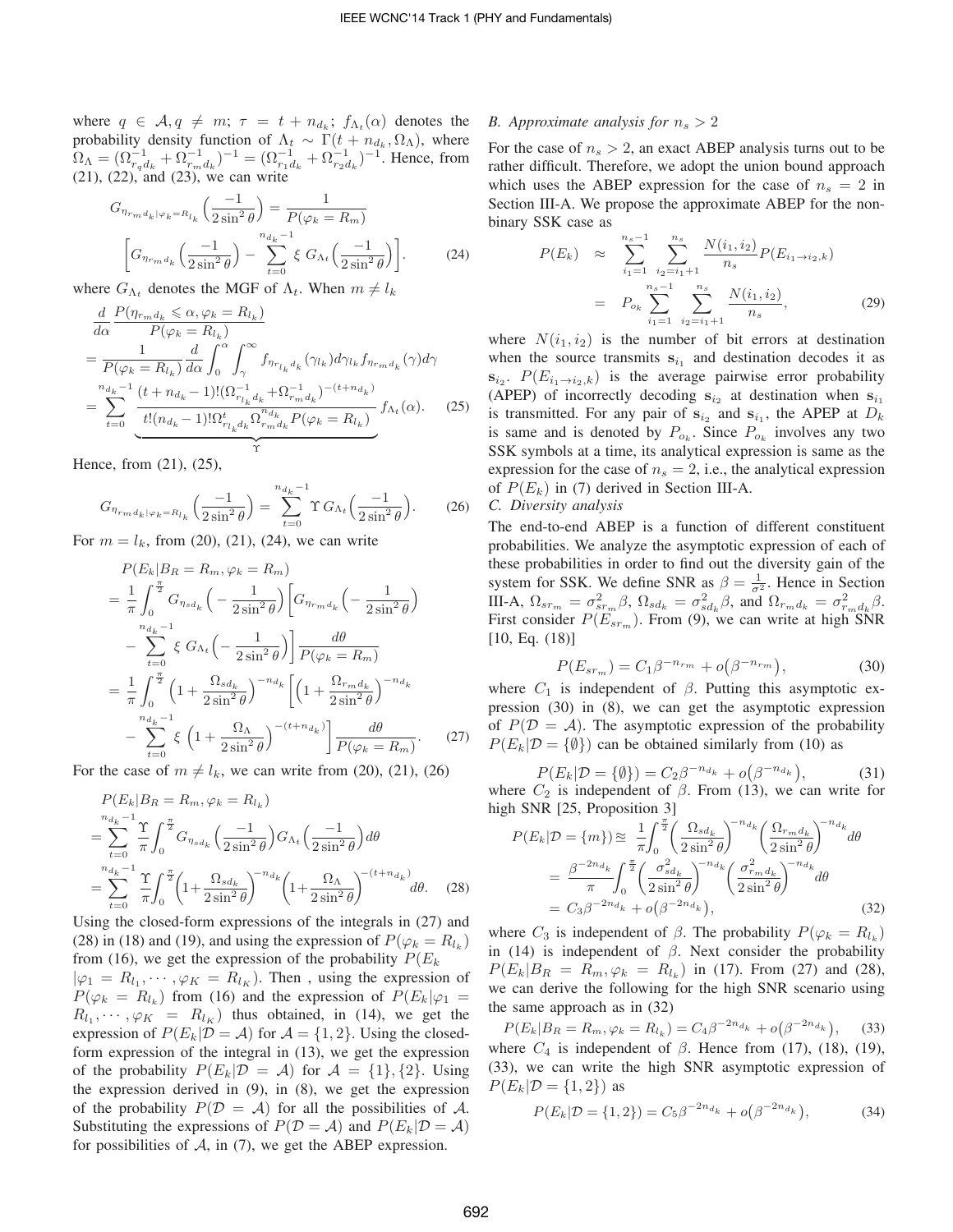where  $q \in \mathcal{A}, q \neq m; \tau = t + n_{d_k}; f_{\Lambda_t}(\alpha)$  denotes the probability density function of  $\Lambda_t \sim \Gamma(t + n_{d_k}, \Omega_{\Lambda})$ , where  $\Omega_{\Lambda} = (\Omega_{r_q d_k}^{-1} + \Omega_{r_m d_k}^{-1})^{-1} = (\Omega_{r_1 d_k}^{-1} + \Omega_{r_2 d_k}^{-1})^{-1}$ . Hence, from (21), (22), and (23), we can write

$$
G_{\eta_{rm}d_k|\varphi_k = R_{l_k}}\left(\frac{-1}{2\sin^2\theta}\right) = \frac{1}{P(\varphi_k = R_m)}
$$

$$
\left[G_{\eta_{rm}d_k}\left(\frac{-1}{2\sin^2\theta}\right) - \sum_{t=0}^{n_{d_k}-1} \xi G_{\Lambda_t}\left(\frac{-1}{2\sin^2\theta}\right)\right].
$$
 (24)

where  $G_{\Lambda_t}$  denotes the MGF of  $\Lambda_t$ . When  $m \neq l_k$ 

$$
\frac{d}{d\alpha} \frac{P(\eta_{r_m d_k} \leq \alpha, \varphi_k = R_{l_k})}{P(\varphi_k = R_{l_k})}
$$
\n
$$
= \frac{1}{P(\varphi_k = R_{l_k})} \frac{d}{d\alpha} \int_0^{\alpha} \int_{\gamma}^{\infty} f_{\eta_{r_{l_k} d_k}}(\gamma_{l_k}) d\gamma_{l_k} f_{\eta_{r_m d_k}}(\gamma) d\gamma
$$
\n
$$
= \sum_{t=0}^{n_{d_k}-1} \frac{(t + n_{d_k} - 1)!(\Omega_{r_{l_k} d_k}^{-1} + \Omega_{r_m d_k}^{-1})^{-(t + n_{d_k})}}{t!(n_{d_k} - 1)!\Omega_{r_{l_k} d_k}^{1} \Omega_{r_m d_k}^{-n_{d_k}} P(\varphi_k = R_{l_k})} f_{\Lambda_t}(\alpha). \quad (25)
$$

Hence, from (21), (25),

$$
G_{\eta_{r_m d_k|\varphi_k = R_{l_k}}} \left( \frac{-1}{2 \sin^2 \theta} \right) = \sum_{t=0}^{n_{d_k} - 1} \Upsilon G_{\Lambda_t} \left( \frac{-1}{2 \sin^2 \theta} \right).
$$
 (26)

For  $m = l_k$ , from (20), (21), (24), we can write

$$
P(E_k|B_R = R_m, \varphi_k = R_m)
$$
  
=  $\frac{1}{\pi} \int_0^{\frac{\pi}{2}} G_{\eta_{sd_k}} \left( -\frac{1}{2 \sin^2 \theta} \right) \left[ G_{\eta_{r_m d_k}} \left( -\frac{1}{2 \sin^2 \theta} \right) \right]$   
 $- \sum_{t=0}^{n_{d_k}-1} \xi G_{\Lambda_t} \left( -\frac{1}{2 \sin^2 \theta} \right) \frac{d\theta}{P(\varphi_k = R_m)}$   
=  $\frac{1}{\pi} \int_0^{\frac{\pi}{2}} \left( 1 + \frac{\Omega_{sd_k}}{2 \sin^2 \theta} \right)^{-n_{d_k}} \left[ \left( 1 + \frac{\Omega_{r_m d_k}}{2 \sin^2 \theta} \right)^{-n_{d_k}} - \sum_{t=0}^{n_{d_k}-1} \xi \left( 1 + \frac{\Omega_{\Lambda}}{2 \sin^2 \theta} \right)^{-(t+n_{d_k})} \right] \frac{d\theta}{P(\varphi_k = R_m)}.$  (27)

For the case of  $m \neq l_k$ , we can write from (20), (21), (26)

$$
P(E_k|B_R = R_m, \varphi_k = R_{l_k})
$$
  
= 
$$
\sum_{t=0}^{n_{d_k}-1} \frac{\Upsilon}{\pi} \int_0^{\frac{\pi}{2}} G_{\eta_{sd_k}} \left(\frac{-1}{2\sin^2 \theta}\right) G_{\Lambda_t} \left(\frac{-1}{2\sin^2 \theta}\right) d\theta
$$
  
= 
$$
\sum_{t=0}^{n_{d_k}-1} \frac{\Upsilon}{\pi} \int_0^{\frac{\pi}{2}} \left(1 + \frac{\Omega_{sd_k}}{2\sin^2 \theta}\right)^{-n_{d_k}} \left(1 + \frac{\Omega_{\Lambda}}{2\sin^2 \theta}\right)^{-(t+n_{d_k})} d\theta.
$$
 (28)

Using the closed-form expressions of the integrals in (27) and (28) in (18) and (19), and using the expression of  $P(\varphi_k = R_{l_k})$ from (16), we get the expression of the probability  $P(E_k)$ 

 $|\varphi_1 = R_{l_1}, \cdots, \varphi_K = R_{l_K}$ . Then, using the expression of  $P(\varphi_k = R_{l_k})$  from (16) and the expression of  $P(E_k|\varphi_1 =$  $R_{l_1}, \dots, \varphi_K = R_{l_K}$  thus obtained, in (14), we get the expression of  $P(E_k | \mathcal{D} = \mathcal{A})$  for  $\mathcal{A} = \{1, 2\}$ . Using the closedform expression of the integral in (13), we get the expression of the probability  $P(E_k | \mathcal{D} = \mathcal{A})$  for  $\mathcal{A} = \{1\}, \{2\}$ . Using the expression derived in  $(9)$ , in  $(8)$ , we get the expression of the probability  $P(D = A)$  for all the possibilities of A. Substituting the expressions of  $P(D = A)$  and  $P(E_k | D = A)$ for possibilities of  $A$ , in (7), we get the ABEP expression.

#### *B. Approximate analysis for*  $n_s > 2$

For the case of  $n_s > 2$ , an exact ABEP analysis turns out to be rather difficult. Therefore, we adopt the union bound approach which uses the ABEP expression for the case of  $n_s = 2$  in Section III-A. We propose the approximate ABEP for the nonbinary SSK case as

$$
P(E_k) \approx \sum_{i_1=1}^{n_s-1} \sum_{i_2=i_1+1}^{n_s} \frac{N(i_1, i_2)}{n_s} P(E_{i_1 \to i_2, k})
$$

$$
= P_{o_k} \sum_{i_1=1}^{n_s-1} \sum_{i_2=i_1+1}^{n_s} \frac{N(i_1, i_2)}{n_s}, \qquad (29)
$$

where  $N(i_1, i_2)$  is the number of bit errors at destination when the source transmits  $s_{i_1}$  and destination decodes it as  $s_{i_2}$ .  $P(E_{i_1\rightarrow i_2,k})$  is the average pairwise error probability (APEP) of incorrectly decoding  $s_{i_2}$  at destination when  $s_{i_1}$ is transmitted. For any pair of  $s_{i_2}$  and  $s_{i_1}$ , the APEP at  $D_k$ is same and is denoted by  $P_{o_k}$ . Since  $P_{o_k}$  involves any two SSK symbols at a time, its analytical expression is same as the expression for the case of  $n_s = 2$ , i.e., the analytical expression of  $P(E_k)$  in (7) derived in Section III-A.

## *C. Diversity analysis*

The end-to-end ABEP is a function of different constituent probabilities. We analyze the asymptotic expression of each of these probabilities in order to find out the diversity gain of the system for SSK. We define SNR as  $\beta = \frac{1}{\sigma^2}$ . Hence in Section III-A,  $\Omega_{sr_m} = \sigma_{sr_m}^2 \beta$ ,  $\Omega_{sd_k} = \sigma_{sd_k}^2 \beta$ , and  $\Omega_{r_m d_k} = \sigma_{r_m d_k}^2 \beta$ . First consider  $P(E_{sr_m})$ . From (9), we can write at high SNR [10, Eq. (18)]

$$
P(E_{sr_m}) = C_1 \beta^{-n_{r_m}} + o(\beta^{-n_{r_m}}),
$$
\n(30)

where  $C_1$  is independent of  $\beta$ . Putting this asymptotic expression (30) in (8), we can get the asymptotic expression of  $P(D = A)$ . The asymptotic expression of the probability  $P(E_k | \mathcal{D} = \{\emptyset\})$  can be obtained similarly from (10) as

$$
P(E_k | \mathcal{D} = \{ \emptyset \}) = C_2 \beta^{-n_{d_k}} + o(\beta^{-n_{d_k}}),
$$
 (31)  
where  $C_2$  is independent of  $\beta$ . From (13), we can write for  
high SNR [25, Proposition 3]

$$
P(E_k|\mathcal{D} = \{m\}) \approx \frac{1}{\pi} \int_0^{\frac{\pi}{2}} \left(\frac{\Omega_{sd_k}}{2\sin^2\theta}\right)^{-n_{dk}} \left(\frac{\Omega_{rm_{dk}}}{2\sin^2\theta}\right)^{-n_{dk}} d\theta
$$

$$
= \frac{\beta^{-2n_{dk}}}{\pi} \int_0^{\frac{\pi}{2}} \left(\frac{\sigma_{sd_k}^2}{2\sin^2\theta}\right)^{-n_{dk}} \left(\frac{\sigma_{rm_{dk}}^2}{2\sin^2\theta}\right)^{-n_{dk}} d\theta
$$

$$
= C_3 \beta^{-2n_{dk}} + o\left(\beta^{-2n_{dk}}\right), \tag{32}
$$

where  $C_3$  is independent of  $\beta$ . The probability  $P(\varphi_k = R_{l_k})$ in (14) is independent of  $\beta$ . Next consider the probability  $P(E_k|B_R = R_m, \varphi_k = R_{l_k})$  in (17). From (27) and (28), we can derive the following for the high SNR scenario using the same approach as in (32)

 $P(E_k|B_R = R_m, \varphi_k = R_{l_k}) = C_4 \beta^{-2n_{d_k}} + o(\beta^{-2n_{d_k}})$  $(33)$ where  $C_4$  is independent of  $\beta$ . Hence from (17), (18), (19), (33), we can write the high SNR asymptotic expression of  $P(E_k | \mathcal{D} = \{1, 2\})$  as

$$
P(E_k|\mathcal{D} = \{1, 2\}) = C_5 \beta^{-2n_{d_k}} + o(\beta^{-2n_{d_k}}),
$$
 (34)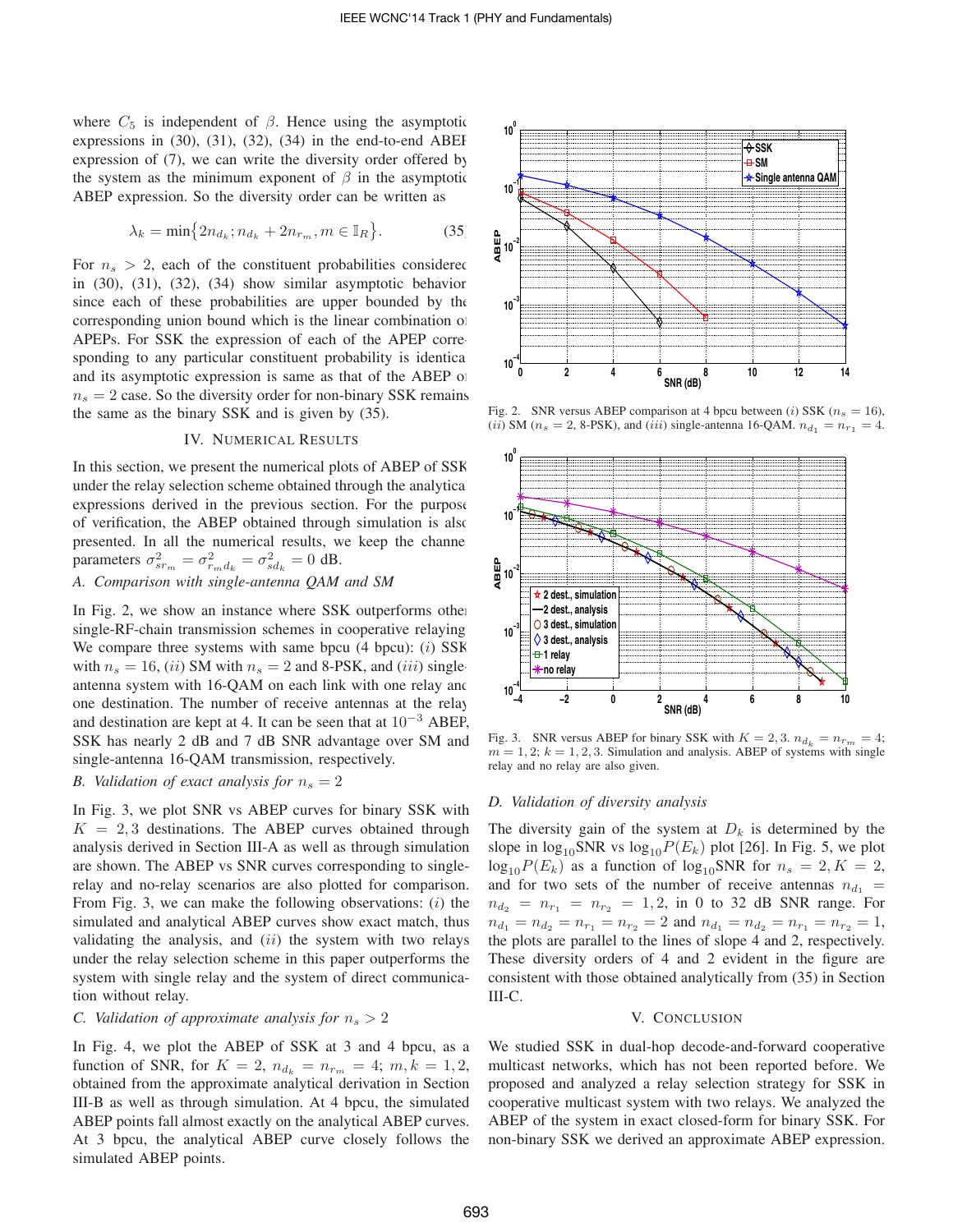where  $C_5$  is independent of  $\beta$ . Hence using the asymptotic expressions in  $(30)$ ,  $(31)$ ,  $(32)$ ,  $(34)$  in the end-to-end ABEF expression of (7), we can write the diversity order offered by the system as the minimum exponent of  $\beta$  in the asymptotic ABEP expression. So the diversity order can be written as

$$
\lambda_k = \min\left\{2n_{d_k}; n_{d_k} + 2n_{r_m}, m \in \mathbb{I}_R\right\}.
$$
 (35)

For  $n_s > 2$ , each of the constituent probabilities considered in  $(30)$ ,  $(31)$ ,  $(32)$ ,  $(34)$  show similar asymptotic behavior since each of these probabilities are upper bounded by the corresponding union bound which is the linear combination of APEPs. For SSK the expression of each of the APEP corresponding to any particular constituent probability is identical and its asymptotic expression is same as that of the ABEP of  $n_s = 2$  case. So the diversity order for non-binary SSK remains the same as the binary SSK and is given by (35).

## IV. NUMERICAL RESULTS

In this section, we present the numerical plots of ABEP of SSK under the relay selection scheme obtained through the analytical expressions derived in the previous section. For the purpose of verification, the ABEP obtained through simulation is also presented. In all the numerical results, we keep the channel parameters  $\sigma_{sr_m}^2 = \sigma_{r_m d_k}^2 = \sigma_{sd_k}^2 = 0$  dB.

*A. Comparison with single-antenna QAM and SM*

In Fig. 2, we show an instance where SSK outperforms other single-RF-chain transmission schemes in cooperative relaying. We compare three systems with same bpcu  $(4 \text{ bpcu})$ :  $(i)$  SSK with  $n_s = 16$ , (*ii*) SM with  $n_s = 2$  and 8-PSK, and (*iii*) singleantenna system with 16-QAM on each link with one relay and one destination. The number of receive antennas at the relay and destination are kept at 4. It can be seen that at  $10^{-3}$  ABEP, SSK has nearly 2 dB and 7 dB SNR advantage over SM and single-antenna 16-QAM transmission, respectively.

## *B. Validation of exact analysis for*  $n_s = 2$

In Fig. 3, we plot SNR vs ABEP curves for binary SSK with  $K = 2, 3$  destinations. The ABEP curves obtained through analysis derived in Section III-A as well as through simulation are shown. The ABEP vs SNR curves corresponding to singlerelay and no-relay scenarios are also plotted for comparison. From Fig. 3, we can make the following observations:  $(i)$  the simulated and analytical ABEP curves show exact match, thus validating the analysis, and  $(ii)$  the system with two relays under the relay selection scheme in this paper outperforms the system with single relay and the system of direct communication without relay.

## *C. Validation of approximate analysis for*  $n_s > 2$

In Fig. 4, we plot the ABEP of SSK at 3 and 4 bpcu, as a function of SNR, for  $K = 2$ ,  $n_{d_k} = n_{r_m} = 4$ ;  $m, k = 1, 2$ , obtained from the approximate analytical derivation in Section III-B as well as through simulation. At 4 bpcu, the simulated ABEP points fall almost exactly on the analytical ABEP curves. At 3 bpcu, the analytical ABEP curve closely follows the simulated ABEP points.



Fig. 2. SNR versus ABEP comparison at 4 bpcu between (i) SSK ( $n_s = 16$ ), (*ii*) SM ( $n_s = 2$ , 8-PSK), and (*iii*) single-antenna 16-QAM.  $n_{d_1} = n_{r_1} = 4$ .



Fig. 3. SNR versus ABEP for binary SSK with  $K = 2, 3$ .  $n_{d_k} = n_{r_m} = 4$ ;  $m = 1, 2; k = 1, 2, 3$ . Simulation and analysis. ABEP of systems with single relay and no relay are also given.

## *D. Validation of diversity analysis*

The diversity gain of the system at  $D_k$  is determined by the slope in  $\log_{10}$ SNR vs  $\log_{10} P(E_k)$  plot [26]. In Fig. 5, we plot  $log_{10}P(E_k)$  as a function of  $log_{10}SNR$  for  $n_s = 2, K = 2$ , and for two sets of the number of receive antennas  $n_{d_1} =$  $n_{d_2} = n_{r_1} = n_{r_2} = 1, 2, \text{ in 0 to 32 dB SNR range. For }$  $n_{d_1} = n_{d_2} = n_{r_1} = n_{r_2} = 2$  and  $n_{d_1} = n_{d_2} = n_{r_1} = n_{r_2} = 1$ , the plots are parallel to the lines of slope 4 and 2, respectively. These diversity orders of 4 and 2 evident in the figure are consistent with those obtained analytically from (35) in Section III-C.

#### V. CONCLUSION

We studied SSK in dual-hop decode-and-forward cooperative multicast networks, which has not been reported before. We proposed and analyzed a relay selection strategy for SSK in cooperative multicast system with two relays. We analyzed the ABEP of the system in exact closed-form for binary SSK. For non-binary SSK we derived an approximate ABEP expression.